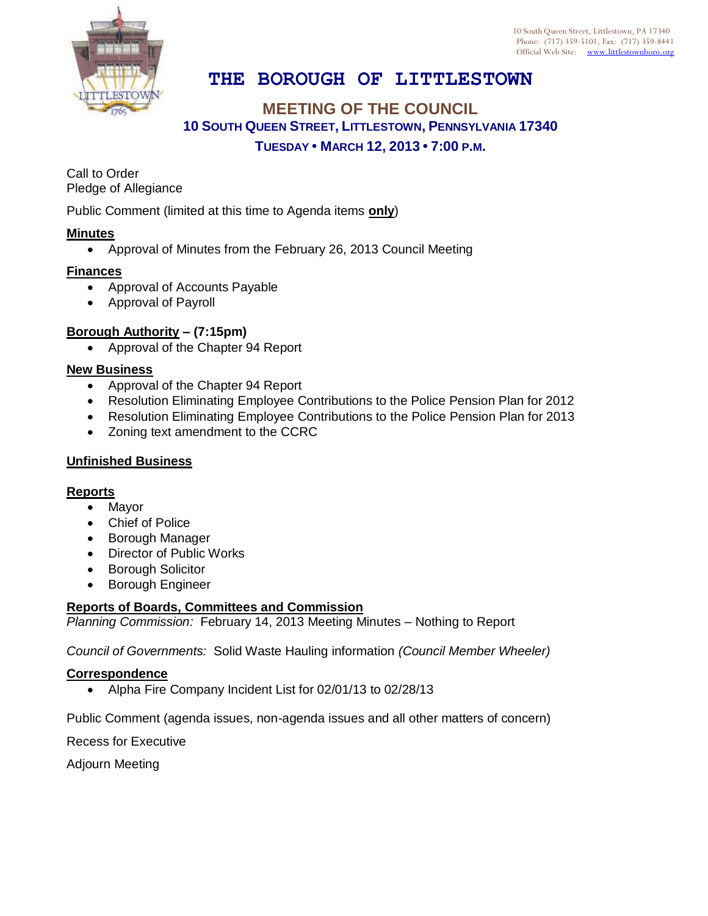

# **THE BOROUGH OF LITTLESTOWN**

## **MEETING OF THE COUNCIL 10 SOUTH QUEEN STREET, LITTLESTOWN, PENNSYLVANIA 17340 TUESDAY • MARCH 12, 2013 • 7:00 P.M.**

Call to Order Pledge of Allegiance

Public Comment (limited at this time to Agenda items **only**)

#### **Minutes**

Approval of Minutes from the February 26, 2013 Council Meeting

#### **Finances**

- Approval of Accounts Payable
- Approval of Payroll

### **Borough Authority – (7:15pm)**

• Approval of the Chapter 94 Report

### **New Business**

- Approval of the Chapter 94 Report
- Resolution Eliminating Employee Contributions to the Police Pension Plan for 2012
- Resolution Eliminating Employee Contributions to the Police Pension Plan for 2013
- Zoning text amendment to the CCRC

### **Unfinished Business**

#### **Reports**

- Mayor
- Chief of Police
- Borough Manager
- Director of Public Works
- **•** Borough Solicitor
- Borough Engineer

#### **Reports of Boards, Committees and Commission**

*Planning Commission:* February 14, 2013 Meeting Minutes – Nothing to Report

*Council of Governments:* Solid Waste Hauling information *(Council Member Wheeler)*

#### **Correspondence**

• Alpha Fire Company Incident List for 02/01/13 to 02/28/13

Public Comment (agenda issues, non-agenda issues and all other matters of concern)

Recess for Executive

Adjourn Meeting